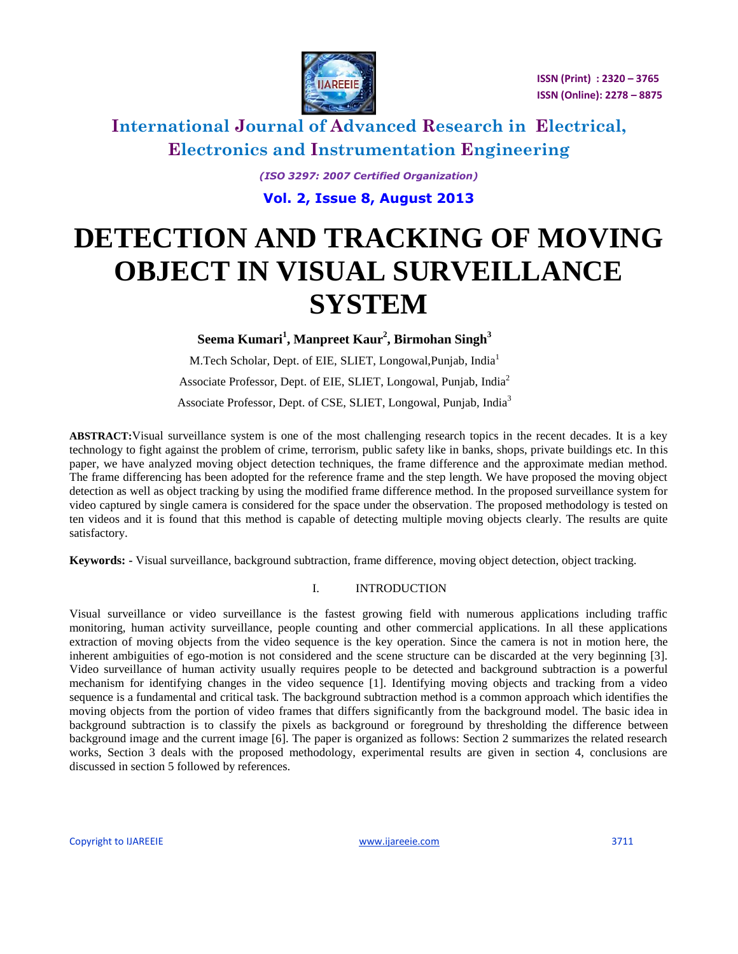

 **ISSN (Print) : 2320 – 3765 ISSN (Online): 2278 – 8875**

# **International Journal of Advanced Research in Electrical, Electronics and Instrumentation Engineering**

*(ISO 3297: 2007 Certified Organization)* **Vol. 2, Issue 8, August 2013**

# **DETECTION AND TRACKING OF MOVING OBJECT IN VISUAL SURVEILLANCE SYSTEM**

**Seema Kumari<sup>1</sup> , Manpreet Kaur<sup>2</sup> , Birmohan Singh<sup>3</sup>**

M.Tech Scholar, Dept. of EIE, SLIET, Longowal, Punjab, India<sup>1</sup> Associate Professor, Dept. of EIE, SLIET, Longowal, Punjab, India<sup>2</sup> Associate Professor, Dept. of CSE, SLIET, Longowal, Punjab, India<sup>3</sup>

**ABSTRACT:**Visual surveillance system is one of the most challenging research topics in the recent decades. It is a key technology to fight against the problem of crime, terrorism, public safety like in banks, shops, private buildings etc. In this paper, we have analyzed moving object detection techniques, the frame difference and the approximate median method. The frame differencing has been adopted for the reference frame and the step length. We have proposed the moving object detection as well as object tracking by using the modified frame difference method. In the proposed surveillance system for video captured by single camera is considered for the space under the observation. The proposed methodology is tested on ten videos and it is found that this method is capable of detecting multiple moving objects clearly. The results are quite satisfactory.

**Keywords: -** Visual surveillance, background subtraction, frame difference, moving object detection, object tracking.

#### I. INTRODUCTION

Visual surveillance or video surveillance is the fastest growing field with numerous applications including traffic monitoring, human activity surveillance, people counting and other commercial applications. In all these applications extraction of moving objects from the video sequence is the key operation. Since the camera is not in motion here, the inherent ambiguities of ego-motion is not considered and the scene structure can be discarded at the very beginning [3]. Video surveillance of human activity usually requires people to be detected and background subtraction is a powerful mechanism for identifying changes in the video sequence [1]. Identifying moving objects and tracking from a video sequence is a fundamental and critical task. The background subtraction method is a common approach which identifies the moving objects from the portion of video frames that differs significantly from the background model. The basic idea in background subtraction is to classify the pixels as background or foreground by thresholding the difference between background image and the current image [6]. The paper is organized as follows: Section 2 summarizes the related research works, Section 3 deals with the proposed methodology, experimental results are given in section 4, conclusions are discussed in section 5 followed by references.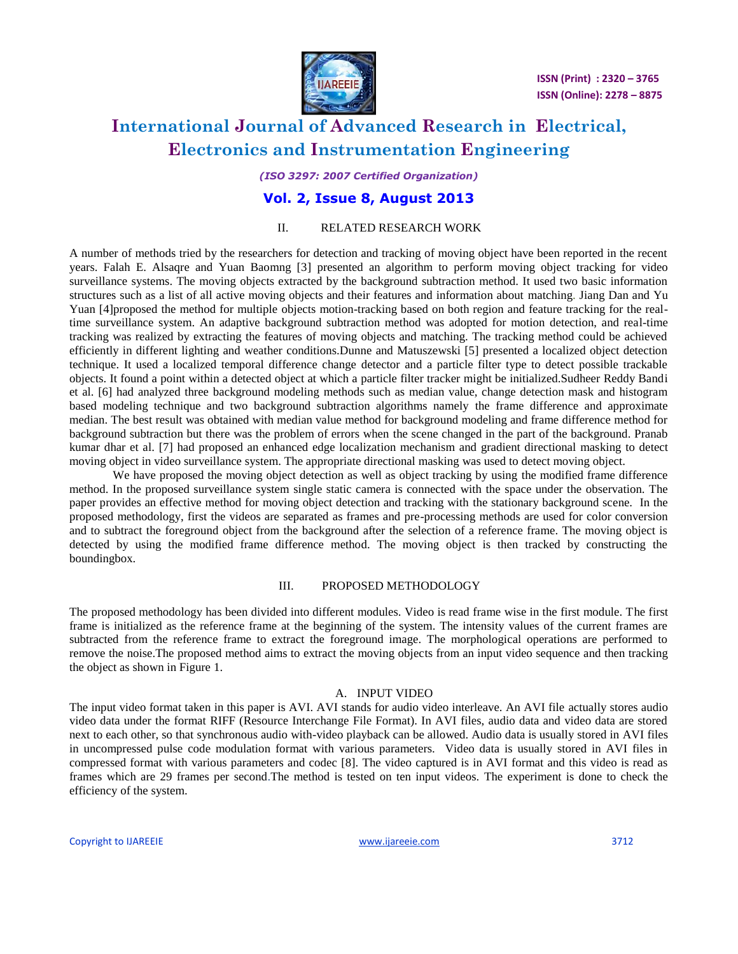

*(ISO 3297: 2007 Certified Organization)*

### **Vol. 2, Issue 8, August 2013**

#### II. RELATED RESEARCH WORK

A number of methods tried by the researchers for detection and tracking of moving object have been reported in the recent years. Falah E. Alsaqre and Yuan Baomng [3] presented an algorithm to perform moving object tracking for video surveillance systems. The moving objects extracted by the background subtraction method. It used two basic information structures such as a list of all active moving objects and their features and information about matching. Jiang Dan and Yu Yuan [4]proposed the method for multiple objects motion-tracking based on both region and feature tracking for the realtime surveillance system. An adaptive background subtraction method was adopted for motion detection, and real-time tracking was realized by extracting the features of moving objects and matching. The tracking method could be achieved efficiently in different lighting and weather conditions.Dunne and Matuszewski [5] presented a localized object detection technique. It used a localized temporal difference change detector and a particle filter type to detect possible trackable objects. It found a point within a detected object at which a particle filter tracker might be initialized.Sudheer Reddy Bandi et al. [6] had analyzed three background modeling methods such as median value, change detection mask and histogram based modeling technique and two background subtraction algorithms namely the frame difference and approximate median. The best result was obtained with median value method for background modeling and frame difference method for background subtraction but there was the problem of errors when the scene changed in the part of the background. Pranab kumar dhar et al. [7] had proposed an enhanced edge localization mechanism and gradient directional masking to detect moving object in video surveillance system. The appropriate directional masking was used to detect moving object.

We have proposed the moving object detection as well as object tracking by using the modified frame difference method. In the proposed surveillance system single static camera is connected with the space under the observation. The paper provides an effective method for moving object detection and tracking with the stationary background scene. In the proposed methodology, first the videos are separated as frames and pre-processing methods are used for color conversion and to subtract the foreground object from the background after the selection of a reference frame. The moving object is detected by using the modified frame difference method. The moving object is then tracked by constructing the boundingbox.

#### III. PROPOSED METHODOLOGY

The proposed methodology has been divided into different modules. Video is read frame wise in the first module. The first frame is initialized as the reference frame at the beginning of the system. The intensity values of the current frames are subtracted from the reference frame to extract the foreground image. The morphological operations are performed to remove the noise.The proposed method aims to extract the moving objects from an input video sequence and then tracking the object as shown in Figure 1.

#### A. INPUT VIDEO

The input video format taken in this paper is AVI. AVI stands for audio video interleave. An AVI file actually stores audio video data under the format RIFF (Resource Interchange File Format). In AVI files, audio data and video data are stored next to each other, so that synchronous audio with-video playback can be allowed. Audio data is usually stored in AVI files in uncompressed pulse code modulation format with various parameters. Video data is usually stored in AVI files in compressed format with various parameters and codec [8]. The video captured is in AVI format and this video is read as frames which are 29 frames per second.The method is tested on ten input videos. The experiment is done to check the efficiency of the system.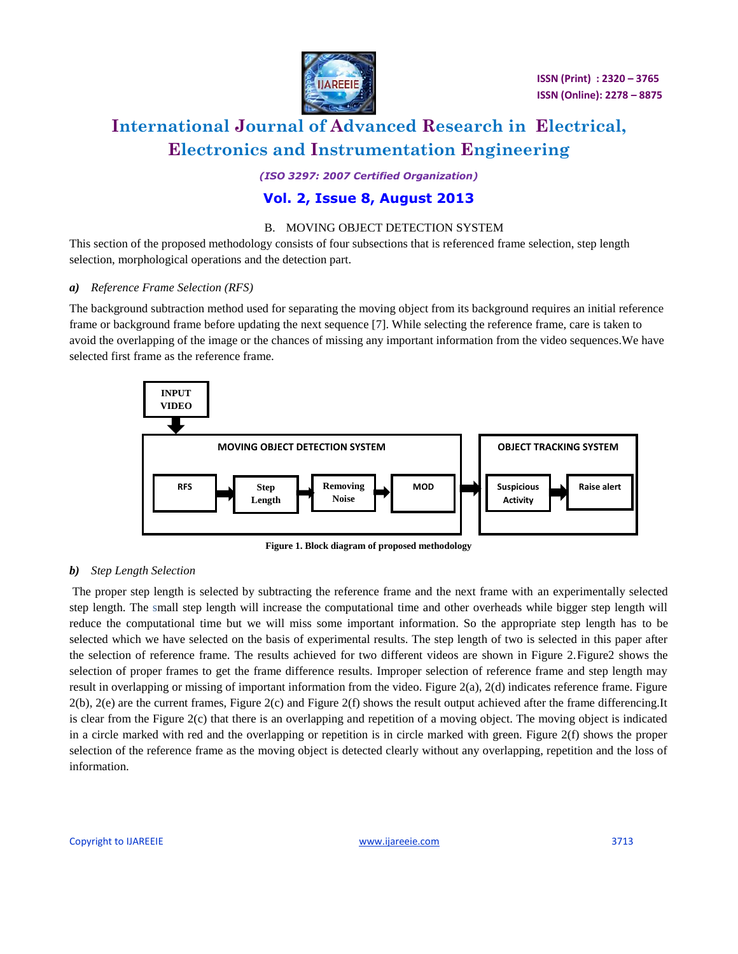

*(ISO 3297: 2007 Certified Organization)*

### **Vol. 2, Issue 8, August 2013**

#### B. MOVING OBJECT DETECTION SYSTEM

This section of the proposed methodology consists of four subsections that is referenced frame selection, step length selection, morphological operations and the detection part.

#### *a) Reference Frame Selection (RFS)*

The background subtraction method used for separating the moving object from its background requires an initial reference frame or background frame before updating the next sequence [7]. While selecting the reference frame, care is taken to avoid the overlapping of the image or the chances of missing any important information from the video sequences.We have selected first frame as the reference frame.



**Figure 1. Block diagram of proposed methodology**

#### *b) Step Length Selection*

The proper step length is selected by subtracting the reference frame and the next frame with an experimentally selected step length. The small step length will increase the computational time and other overheads while bigger step length will reduce the computational time but we will miss some important information. So the appropriate step length has to be selected which we have selected on the basis of experimental results. The step length of two is selected in this paper after the selection of reference frame. The results achieved for two different videos are shown in Figure 2.Figure2 shows the selection of proper frames to get the frame difference results. Improper selection of reference frame and step length may result in overlapping or missing of important information from the video. Figure 2(a), 2(d) indicates reference frame. Figure 2(b), 2(e) are the current frames, Figure 2(c) and Figure 2(f) shows the result output achieved after the frame differencing.It is clear from the Figure 2(c) that there is an overlapping and repetition of a moving object. The moving object is indicated in a circle marked with red and the overlapping or repetition is in circle marked with green. Figure 2(f) shows the proper selection of the reference frame as the moving object is detected clearly without any overlapping, repetition and the loss of information.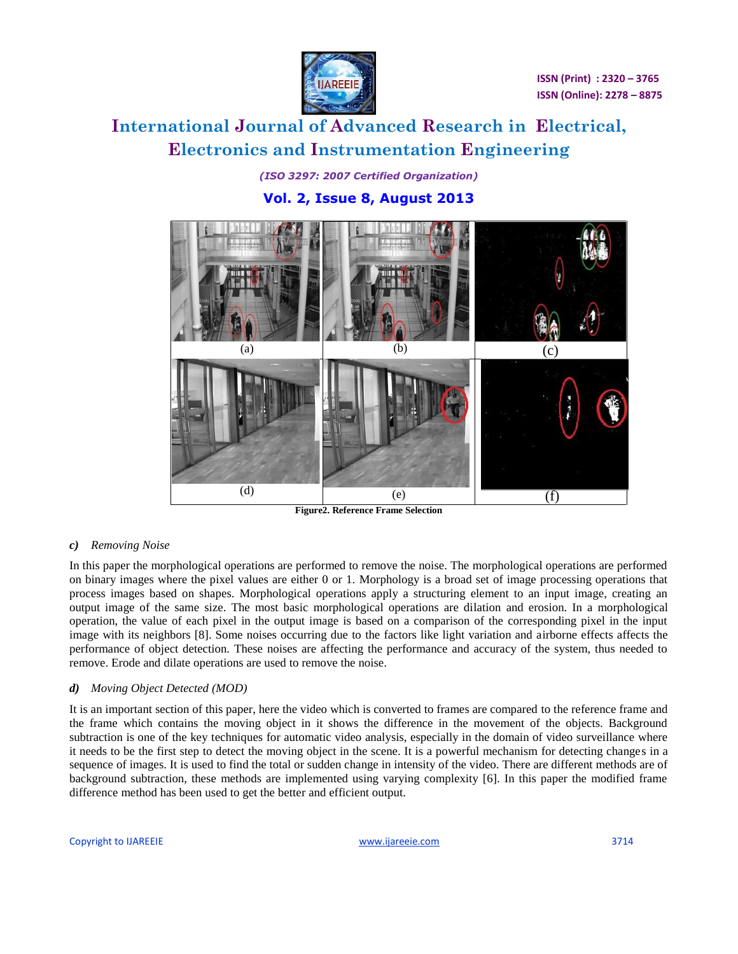

*(ISO 3297: 2007 Certified Organization)* **Vol. 2, Issue 8, August 2013**



**Figure2. Reference Frame Selection** 

#### *c) Removing Noise*

In this paper the morphological operations are performed to remove the noise. The morphological operations are performed on binary images where the pixel values are either 0 or 1. Morphology is a broad set of image processing operations that process images based on shapes. Morphological operations apply a structuring element to an input image, creating an output image of the same size. The most basic morphological operations are dilation and erosion. In a morphological operation, the value of each pixel in the output image is based on a comparison of the corresponding pixel in the input image with its neighbors [8]. Some noises occurring due to the factors like light variation and airborne effects affects the performance of object detection. These noises are affecting the performance and accuracy of the system, thus needed to remove. Erode and dilate operations are used to remove the noise.

#### *d) Moving Object Detected (MOD)*

It is an important section of this paper, here the video which is converted to frames are compared to the reference frame and the frame which contains the moving object in it shows the difference in the movement of the objects. Background subtraction is one of the key techniques for automatic video analysis, especially in the domain of video surveillance where it needs to be the first step to detect the moving object in the scene. It is a powerful mechanism for detecting changes in a sequence of images. It is used to find the total or sudden change in intensity of the video. There are different methods are of background subtraction, these methods are implemented using varying complexity [6]. In this paper the modified frame difference method has been used to get the better and efficient output.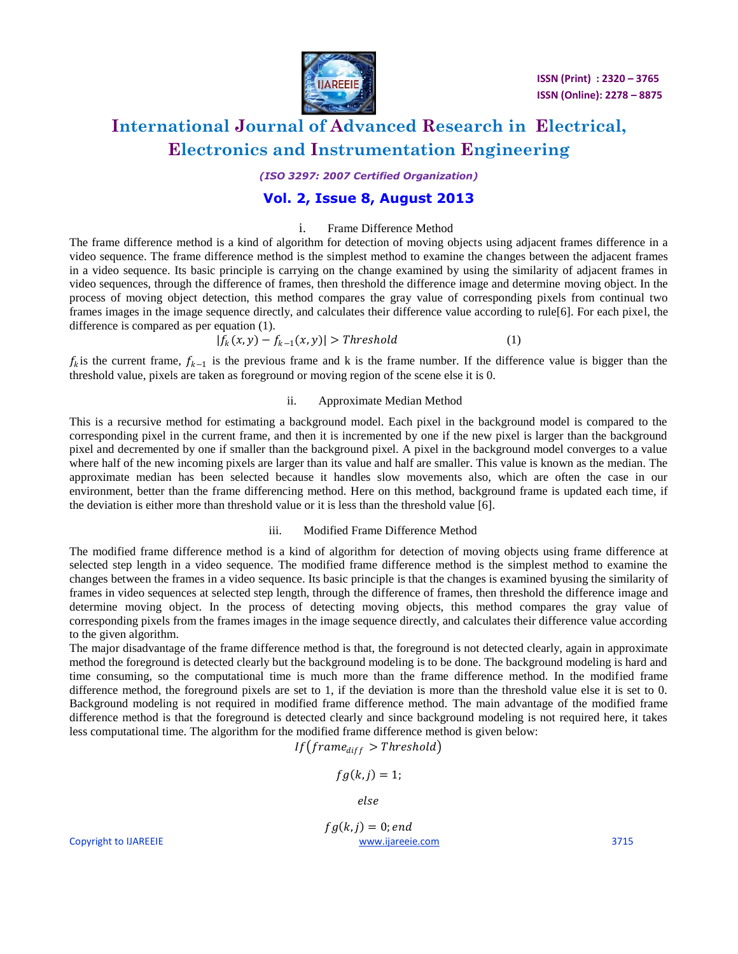

*(ISO 3297: 2007 Certified Organization)*

### **Vol. 2, Issue 8, August 2013**

#### i. Frame Difference Method

The frame difference method is a kind of algorithm for detection of moving objects using adjacent frames difference in a video sequence. The frame difference method is the simplest method to examine the changes between the adjacent frames in a video sequence. Its basic principle is carrying on the change examined by using the similarity of adjacent frames in video sequences, through the difference of frames, then threshold the difference image and determine moving object. In the process of moving object detection, this method compares the gray value of corresponding pixels from continual two frames images in the image sequence directly, and calculates their difference value according to rule[6]. For each pixel, the difference is compared as per equation (1).

$$
|f_k(x, y) - f_{k-1}(x, y)| > Threshold
$$
\n(1)

 $f_k$  is the current frame,  $f_{k-1}$  is the previous frame and k is the frame number. If the difference value is bigger than the threshold value, pixels are taken as foreground or moving region of the scene else it is 0.

#### ii. Approximate Median Method

This is a recursive method for estimating a background model. Each pixel in the background model is compared to the corresponding pixel in the current frame, and then it is incremented by one if the new pixel is larger than the background pixel and decremented by one if smaller than the background pixel. A pixel in the background model converges to a value where half of the new incoming pixels are larger than its value and half are smaller. This value is known as the median. The approximate median has been selected because it handles slow movements also, which are often the case in our environment, better than the frame differencing method. Here on this method, background frame is updated each time, if the deviation is either more than threshold value or it is less than the threshold value [6].

#### iii. Modified Frame Difference Method

The modified frame difference method is a kind of algorithm for detection of moving objects using frame difference at selected step length in a video sequence. The modified frame difference method is the simplest method to examine the changes between the frames in a video sequence. Its basic principle is that the changes is examined byusing the similarity of frames in video sequences at selected step length, through the difference of frames, then threshold the difference image and determine moving object. In the process of detecting moving objects, this method compares the gray value of corresponding pixels from the frames images in the image sequence directly, and calculates their difference value according to the given algorithm.

The major disadvantage of the frame difference method is that, the foreground is not detected clearly, again in approximate method the foreground is detected clearly but the background modeling is to be done. The background modeling is hard and time consuming, so the computational time is much more than the frame difference method. In the modified frame difference method, the foreground pixels are set to 1, if the deviation is more than the threshold value else it is set to 0. Background modeling is not required in modified frame difference method. The main advantage of the modified frame difference method is that the foreground is detected clearly and since background modeling is not required here, it takes less computational time. The algorithm for the modified frame difference method is given below:

$$
If \left( frame_{diff} > Threshold \right)
$$

$$
fg(k,j)=1;
$$

else

Copyright to IJAREEIE [www.ijareeie.com](http://www.ijareeie.com/) 3715  $fg(k, j) = 0; end$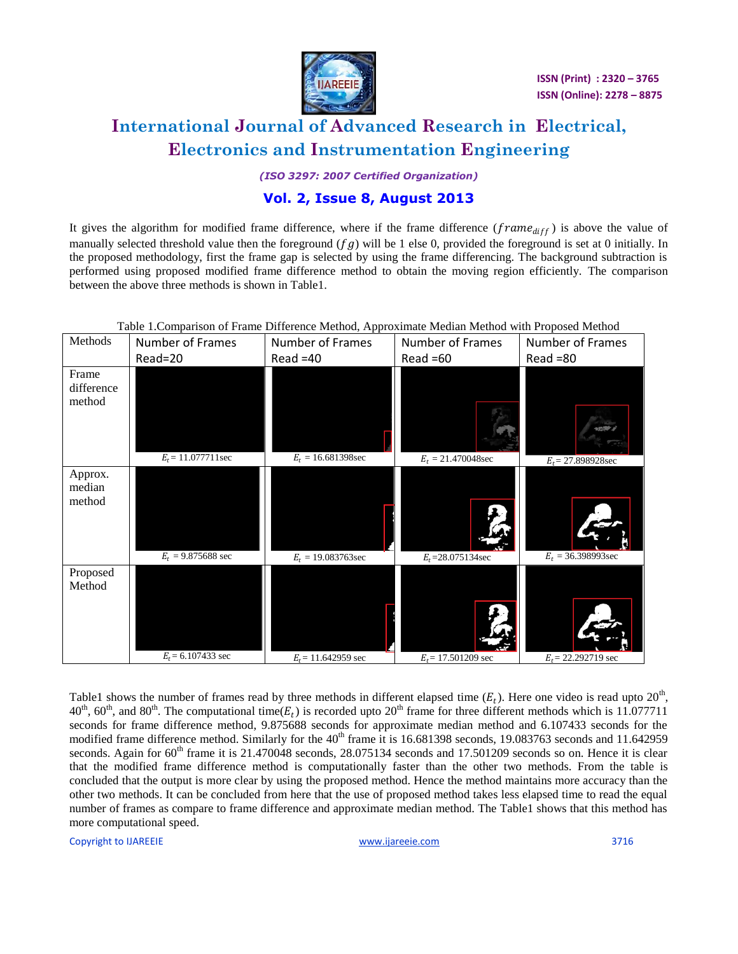

*(ISO 3297: 2007 Certified Organization)*

### **Vol. 2, Issue 8, August 2013**

It gives the algorithm for modified frame difference, where if the frame difference ( $frame_{diff}$ ) is above the value of manually selected threshold value then the foreground  $(fg)$  will be 1 else 0, provided the foreground is set at 0 initially. In the proposed methodology, first the frame gap is selected by using the frame differencing. The background subtraction is performed using proposed modified frame difference method to obtain the moving region efficiently. The comparison between the above three methods is shown in Table1.

| Methods                       | Number of Frames             | Number of Frames      | Number of Frames      | Number of Frames      |
|-------------------------------|------------------------------|-----------------------|-----------------------|-----------------------|
|                               | Read=20                      | $Read = 40$           | $Read = 60$           | $Read = 80$           |
| Frame<br>difference<br>method | $E_t$ = 11.077711sec         | $E_t = 16.681398$ sec | $E_t = 21.470048$ sec | $E_t$ = 27.898928sec  |
| Approx.<br>median<br>method   | $E_t = 9.875688 \text{ sec}$ | $E_t = 19.083763$ sec | $E_t = 28.075134$ sec | $E_t = 36.398993$ sec |
| Proposed<br>Method            | $E_t$ = 6.107433 sec         | $E_t$ = 11.642959 sec | $E_t$ = 17.501209 sec | $E_t$ = 22.292719 sec |

Table 1.Comparison of Frame Difference Method, Approximate Median Method with Proposed Method

Table1 shows the number of frames read by three methods in different elapsed time  $(E_t)$ . Here one video is read upto  $20<sup>th</sup>$ , 40<sup>th</sup>, 60<sup>th</sup>, and 80<sup>th</sup>. The computational time( $E_t$ ) is recorded upto 20<sup>th</sup> frame for three different methods which is 11.077711 seconds for frame difference method, 9.875688 seconds for approximate median method and 6.107433 seconds for the modified frame difference method. Similarly for the 40<sup>th</sup> frame it is 16.681398 seconds, 19.083763 seconds and 11.642959 seconds. Again for  $60^{th}$  frame it is 21.470048 seconds, 28.075134 seconds and 17.501209 seconds so on. Hence it is clear that the modified frame difference method is computationally faster than the other two methods. From the table is concluded that the output is more clear by using the proposed method. Hence the method maintains more accuracy than the other two methods. It can be concluded from here that the use of proposed method takes less elapsed time to read the equal number of frames as compare to frame difference and approximate median method. The Table1 shows that this method has more computational speed.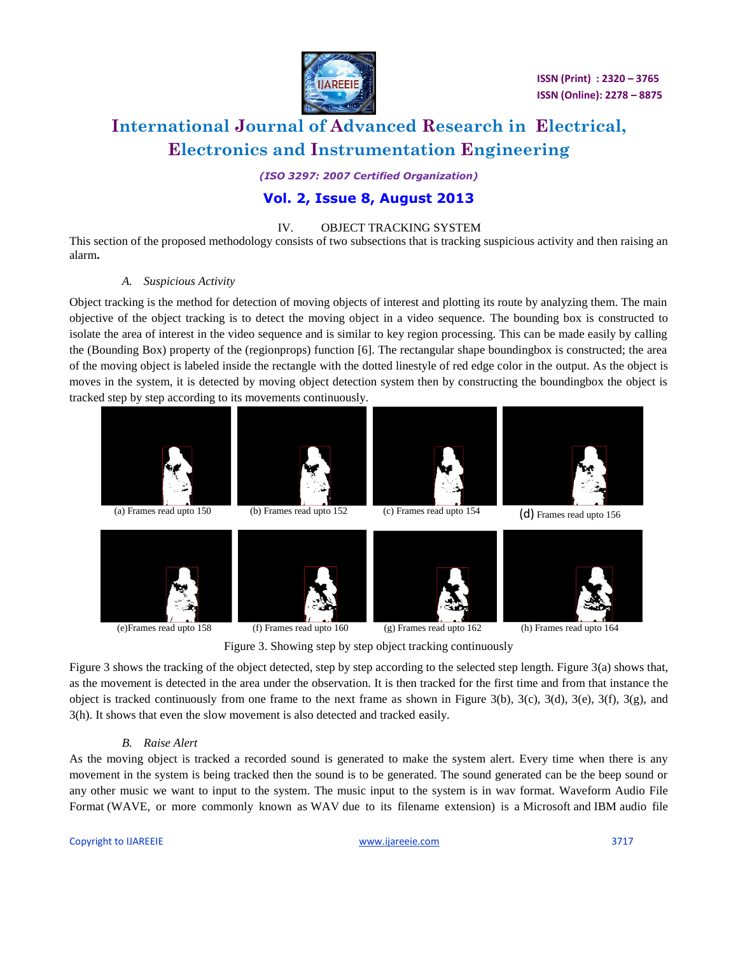

 **ISSN (Print) : 2320 – 3765 ISSN (Online): 2278 – 8875**

# **International Journal of Advanced Research in Electrical, Electronics and Instrumentation Engineering**

*(ISO 3297: 2007 Certified Organization)*

### **Vol. 2, Issue 8, August 2013**

#### IV. OBJECT TRACKING SYSTEM

This section of the proposed methodology consists of two subsections that is tracking suspicious activity and then raising an alarm**.**

#### *A. Suspicious Activity*

Object tracking is the method for detection of moving objects of interest and plotting its route by analyzing them. The main objective of the object tracking is to detect the moving object in a video sequence. The bounding box is constructed to isolate the area of interest in the video sequence and is similar to key region processing. This can be made easily by calling the (Bounding Box) property of the (regionprops) function [6]. The rectangular shape boundingbox is constructed; the area of the moving object is labeled inside the rectangle with the dotted linestyle of red edge color in the output. As the object is moves in the system, it is detected by moving object detection system then by constructing the boundingbox the object is tracked step by step according to its movements continuously.



(e)Frames read upto 158 (f) Frames read upto 160 (g) Frames read upto 162 (h) Frames read upto 164



Figure 3. Showing step by step object tracking continuously

Figure 3 shows the tracking of the object detected, step by step according to the selected step length. Figure 3(a) shows that, as the movement is detected in the area under the observation. It is then tracked for the first time and from that instance the object is tracked continuously from one frame to the next frame as shown in Figure 3(b), 3(c), 3(d), 3(e), 3(f), 3(g), and 3(h). It shows that even the slow movement is also detected and tracked easily.

#### *B. Raise Alert*

As the moving object is tracked a recorded sound is generated to make the system alert. Every time when there is any movement in the system is being tracked then the sound is to be generated. The sound generated can be the beep sound or any other music we want to input to the system. The music input to the system is in wav format. Waveform Audio File Format (WAVE, or more commonly known as WAV due to its filename extension) is a [Microsoft](http://en.wikipedia.org/wiki/Microsoft) and [IBM](http://en.wikipedia.org/wiki/International_Business_Machines) [audio file](http://en.wikipedia.org/wiki/Audio_file_format)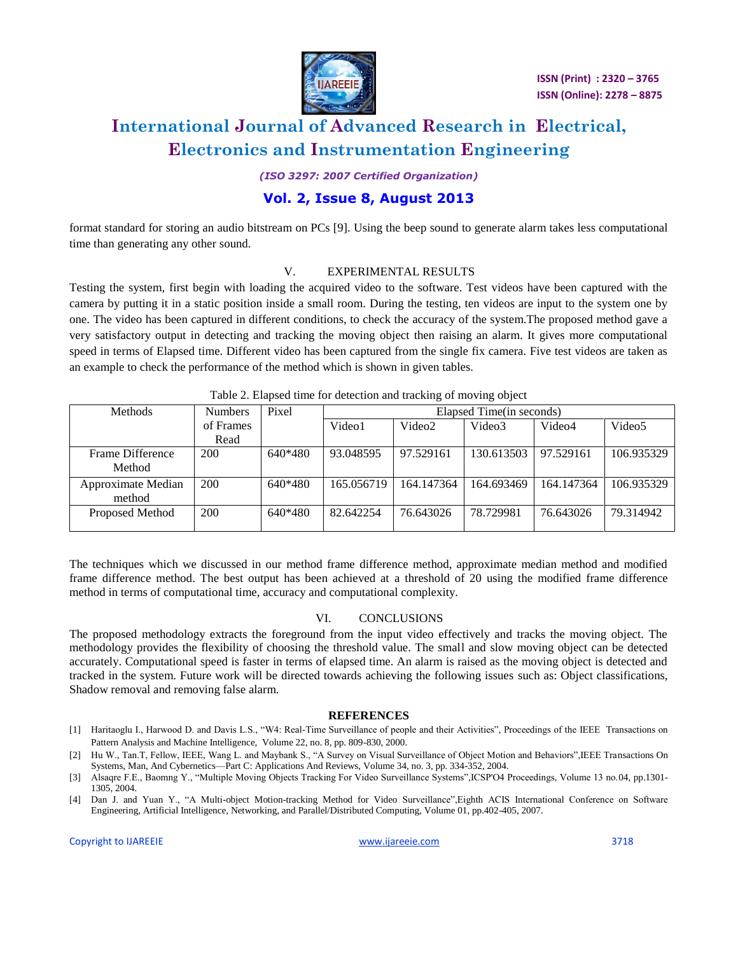

*(ISO 3297: 2007 Certified Organization)*

### **Vol. 2, Issue 8, August 2013**

format standard for storing an audio bitstream on [PCs](http://en.wikipedia.org/wiki/Personal_computer) [9]. Using the beep sound to generate alarm takes less computational time than generating any other sound.

#### V. EXPERIMENTAL RESULTS

Testing the system, first begin with loading the acquired video to the software. Test videos have been captured with the camera by putting it in a static position inside a small room. During the testing, ten videos are input to the system one by one. The video has been captured in different conditions, to check the accuracy of the system.The proposed method gave a very satisfactory output in detecting and tracking the moving object then raising an alarm. It gives more computational speed in terms of Elapsed time. Different video has been captured from the single fix camera. Five test videos are taken as an example to check the performance of the method which is shown in given tables.

|                              | $\frac{1}{2}$ and $\frac{1}{2}$ and $\frac{1}{2}$ and $\frac{1}{2}$ are $\frac{1}{2}$ and $\frac{1}{2}$ are $\frac{1}{2}$ and $\frac{1}{2}$ and $\frac{1}{2}$ are $\frac{1}{2}$ |         |                          |                    |            |            |                    |  |
|------------------------------|---------------------------------------------------------------------------------------------------------------------------------------------------------------------------------|---------|--------------------------|--------------------|------------|------------|--------------------|--|
| <b>Methods</b>               | <b>Numbers</b>                                                                                                                                                                  | Pixel   | Elapsed Time(in seconds) |                    |            |            |                    |  |
|                              | of Frames                                                                                                                                                                       |         | Video1                   | Video <sub>2</sub> | Video3     | Video4     | Video <sub>5</sub> |  |
|                              | Read                                                                                                                                                                            |         |                          |                    |            |            |                    |  |
| Frame Difference<br>Method   | 200                                                                                                                                                                             | 640*480 | 93.048595                | 97.529161          | 130.613503 | 97.529161  | 106.935329         |  |
| Approximate Median<br>method | 200                                                                                                                                                                             | 640*480 | 165,056719               | 164.147364         | 164.693469 | 164.147364 | 106.935329         |  |
| Proposed Method              | 200                                                                                                                                                                             | 640*480 | 82.642254                | 76.643026          | 78.729981  | 76.643026  | 79.314942          |  |

|  |  | Table 2. Elapsed time for detection and tracking of moving object |  |
|--|--|-------------------------------------------------------------------|--|
|  |  |                                                                   |  |

The techniques which we discussed in our method frame difference method, approximate median method and modified frame difference method. The best output has been achieved at a threshold of 20 using the modified frame difference method in terms of computational time, accuracy and computational complexity.

#### VI. CONCLUSIONS

The proposed methodology extracts the foreground from the input video effectively and tracks the moving object. The methodology provides the flexibility of choosing the threshold value. The small and slow moving object can be detected accurately. Computational speed is faster in terms of elapsed time. An alarm is raised as the moving object is detected and tracked in the system. Future work will be directed towards achieving the following issues such as: Object classifications, Shadow removal and removing false alarm.

#### **REFERENCES**

- [1] Haritaoglu I., Harwood D. and Davis L.S., "W4: Real-Time Surveillance of people and their Activities", Proceedings of the IEEE Transactions on Pattern Analysis and Machine Intelligence, Volume 22, no. 8, pp. 809-830, 2000.
- [2] Hu W., Tan.T, Fellow, IEEE, Wang L. and Maybank S., "A Survey on Visual Surveillance of Object Motion and Behaviors",IEEE Transactions On Systems, Man, And Cybernetics—Part C: Applications And Reviews, Volume 34, no. 3, pp. 334-352, 2004.
- [3] Alsaqre F.E., Baomng Y., "Multiple Moving Objects Tracking For Video Surveillance Systems",ICSP'O4 Proceedings, Volume 13 no.04, pp.1301- 1305, 2004.
- [4] Dan J. and Yuan Y., "A Multi-object Motion-tracking Method for Video Surveillance",Eighth ACIS International Conference on Software Engineering, Artificial Intelligence, Networking, and Parallel/Distributed Computing, Volume 01, pp.402-405, 2007.